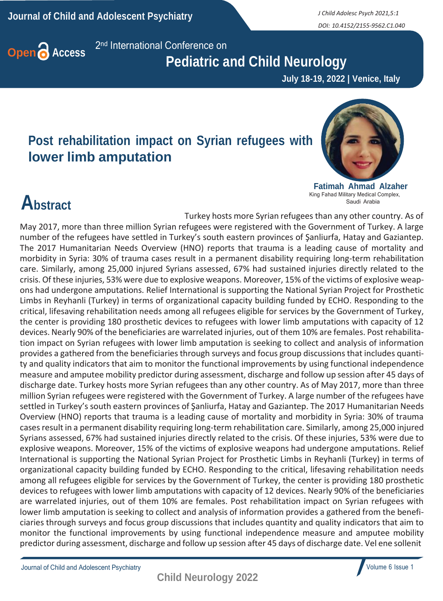*DOI: 10.4152/2155-9562.C1.040*



2<sup>nd</sup> International Conference on

#### **Pediatric and Child Neurology**

 **July 18-19, 2022 | Venice, Italy**

#### **Post rehabilitation impact on Syrian refugees with lower limb amputation**



**Fatimah Ahmad Alzaher** King Fahad Military Medical Complex, Saudi Arabia

## **Abstract**

Turkey hosts more Syrian refugees than any other country. As of May 2017, more than three million Syrian refugees were registered with the Government of Turkey. A large number of the refugees have settled in Turkey's south eastern provinces of Şanliurfa, Hatay and Gaziantep.

The 2017 Humanitarian Needs Overview (HNO) reports that trauma is a leading cause of mortality and morbidity in Syria: 30% of trauma cases result in a permanent disability requiring long-term rehabilitation care. Similarly, among 25,000 injured Syrians assessed, 67% had sustained injuries directly related to the crisis. Of these injuries, 53% were due to explosive weapons. Moreover, 15% of the victims of explosive weapons had undergone amputations. Relief International is supporting the National Syrian Project for Prosthetic Limbs in Reyhanli (Turkey) in terms of organizational capacity building funded by ECHO. Responding to the critical, lifesaving rehabilitation needs among all refugees eligible for services by the Government of Turkey, the center is providing 180 prosthetic devices to refugees with lower limb amputations with capacity of 12 devices. Nearly 90% of the beneficiaries are warrelated injuries, out of them 10% are females. Post rehabilitation impact on Syrian refugees with lower limb amputation is seeking to collect and analysis of information provides a gathered from the beneficiaries through surveys and focus group discussions that includes quantity and quality indicators that aim to monitor the functional improvements by using functional independence measure and amputee mobility predictor during assessment, discharge and follow up session after 45 days of discharge date. Turkey hosts more Syrian refugees than any other country. As of May 2017, more than three million Syrian refugees were registered with the Government of Turkey. A large number of the refugees have settled in Turkey's south eastern provinces of Şanliurfa, Hatay and Gaziantep. The 2017 Humanitarian Needs Overview (HNO) reports that trauma is a leading cause of mortality and morbidity in Syria: 30% of trauma casesresult in a permanent disability requiring long-term rehabilitation care. Similarly, among 25,000 injured Syrians assessed, 67% had sustained injuries directly related to the crisis. Of these injuries, 53% were due to explosive weapons. Moreover, 15% of the victims of explosive weapons had undergone amputations. Relief International is supporting the National Syrian Project for Prosthetic Limbs in Reyhanli (Turkey) in terms of organizational capacity building funded by ECHO. Responding to the critical, lifesaving rehabilitation needs among all refugees eligible for services by the Government of Turkey, the center is providing 180 prosthetic devices to refugees with lower limb amputations with capacity of 12 devices. Nearly 90% of the beneficiaries are warrelated injuries, out of them 10% are females. Post rehabilitation impact on Syrian refugees with lower limb amputation is seeking to collect and analysis of information provides a gathered from the beneficiaries through surveys and focus group discussions that includes quantity and quality indicators that aim to monitor the functional improvements by using functional independence measure and amputee mobility predictor during assessment, discharge and follow up session after 45 days of discharge date. Vel ene sollenit